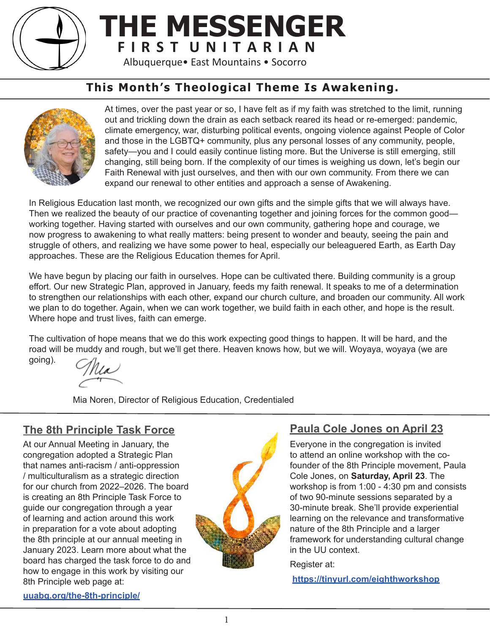

## **THE MESSENGER F I R S T U N I T A R I A N**

Albuquerque• East Mountains • Socorro

## **This Month's Theological Theme Is Awakening.**



At times, over the past year or so, I have felt as if my faith was stretched to the limit, running out and trickling down the drain as each setback reared its head or re-emerged: pandemic, climate emergency, war, disturbing political events, ongoing violence against People of Color and those in the LGBTQ+ community, plus any personal losses of any community, people, safety—you and I could easily continue listing more. But the Universe is still emerging, still changing, still being born. If the complexity of our times is weighing us down, let's begin our Faith Renewal with just ourselves, and then with our own community. From there we can expand our renewal to other entities and approach a sense of Awakening.

In Religious Education last month, we recognized our own gifts and the simple gifts that we will always have. Then we realized the beauty of our practice of covenanting together and joining forces for the common good working together. Having started with ourselves and our own community, gathering hope and courage, we now progress to awakening to what really matters: being present to wonder and beauty, seeing the pain and struggle of others, and realizing we have some power to heal, especially our beleaguered Earth, as Earth Day approaches. These are the Religious Education themes for April.

We have begun by placing our faith in ourselves. Hope can be cultivated there. Building community is a group effort. Our new Strategic Plan, approved in January, feeds my faith renewal. It speaks to me of a determination to strengthen our relationships with each other, expand our church culture, and broaden our community. All work we plan to do together. Again, when we can work together, we build faith in each other, and hope is the result. Where hope and trust lives, faith can emerge.

The cultivation of hope means that we do this work expecting good things to happen. It will be hard, and the road will be muddy and rough, but we'll get there. Heaven knows how, but we will. Woyaya, woyaya (we are

going).

Mia Noren, Director of Religious Education, Credentialed

## **The 8th Principle Task Force**

At our Annual Meeting in January, the congregation adopted a Strategic Plan that names anti-racism / anti-oppression / multiculturalism as a strategic direction for our church from 2022–2026. The board is creating an 8th Principle Task Force to guide our congregation through a year of learning and action around this work in preparation for a vote about adopting the 8th principle at our annual meeting in January 2023. Learn more about what the board has charged the task force to do and how to engage in this work by visiting our 8th Principle web page at:



## **Paula Cole Jones on April 23**

Everyone in the congregation is invited to attend an online workshop with the cofounder of the 8th Principle movement, Paula Cole Jones, on **Saturday, April 23**. The workshop is from 1:00 - 4:30 pm and consists of two 90-minute sessions separated by a 30-minute break. She'll provide experiential learning on the relevance and transformative nature of the 8th Principle and a larger framework for understanding cultural change in the UU context.

Register at:

**<https://tinyurl.com/eighthworkshop>**

#### **[uuabq.org/the-8th-principle/](http://uuabq.org/the-8th-principle/)**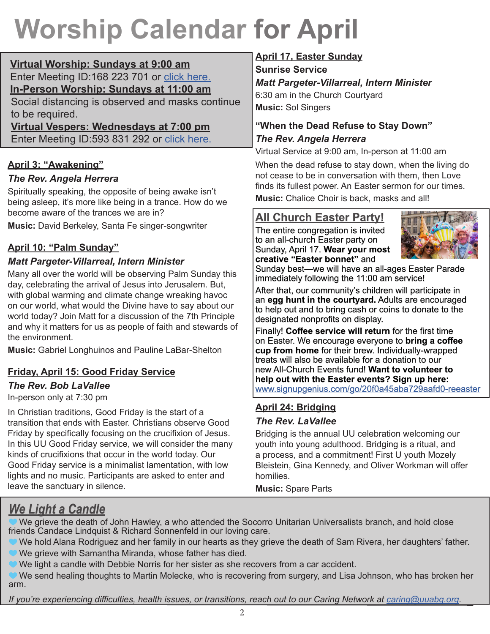## **Worship Calendar for April**

**Virtual Worship: Sundays at 9:00 am** Enter Meeting ID:168 223 701 or [click here.](https://uuma.zoom.us/j/168223701) **In-Person Worship: Sundays at 11:00 am**

Social distancing is observed and masks continue to be required.

**Virtual Vespers: Wednesdays at 7:00 pm** Enter Meeting ID:593 831 292 or [click here.](https://uuma.zoom.us/j/593831292)

## **April 3: "Awakening"**

## *The Rev. Angela Herrera*

Spiritually speaking, the opposite of being awake isn't being asleep, it's more like being in a trance. How do we become aware of the trances we are in?

**Music:** David Berkeley, Santa Fe singer-songwriter

## **April 10: "Palm Sunday"**

## *Matt Pargeter-Villarreal, Intern Minister*

Many all over the world will be observing Palm Sunday this day, celebrating the arrival of Jesus into Jerusalem. But, with global warming and climate change wreaking havoc on our world, what would the Divine have to say about our world today? Join Matt for a discussion of the 7th Principle and why it matters for us as people of faith and stewards of the environment.

**Music:** Gabriel Longhuinos and Pauline LaBar-Shelton

## **Friday, April 15: Good Friday Service**

### *The Rev. Bob LaVallee*

In-person only at 7:30 pm

In Christian traditions, Good Friday is the start of a transition that ends with Easter. Christians observe Good Friday by specifically focusing on the crucifixion of Jesus. In this UU Good Friday service, we will consider the many kinds of crucifixions that occur in the world today. Our Good Friday service is a minimalist lamentation, with low lights and no music. Participants are asked to enter and leave the sanctuary in silence.

## **April 17, Easter Sunday**

**Sunrise Service** 

*Matt Pargeter-Villarreal, Intern Minister*  6:30 am in the Church Courtyard **Music:** Sol Singers

## **"When the Dead Refuse to Stay Down"** *The Rev. Angela Herrera*

Virtual Service at 9:00 am, In-person at 11:00 am

When the dead refuse to stay down, when the living do not cease to be in conversation with them, then Love finds its fullest power. An Easter sermon for our times.

**Music:** Chalice Choir is back, masks and all!

## **All Church Easter Party!**

The entire congregation is invited to an all-church Easter party on Sunday, April 17. **Wear your most creative "Easter bonnet"** and



Sunday best—we will have an all-ages Easter Parade immediately following the 11:00 am service!

After that, our community's children will participate in an **egg hunt in the courtyard.** Adults are encouraged to help out and to bring cash or coins to donate to the designated nonprofits on display.

Finally! **Coffee service will return** for the first time on Easter. We encourage everyone to **bring a coffee cup from home** for their brew. Individually-wrapped treats will also be available for a donation to our new All-Church Events fund! **Want to volunteer to help out with the Easter events? Sign up here:**  [www.signupgenius.com/go/20f0a45aba729aafd0-reeaster](http://www.signupgenius.com/go/20f0a45aba729aafd0-reeaster)

## **April 24: Bridging**

#### *The Rev. LaVallee*

Bridging is the annual UU celebration welcoming our youth into young adulthood. Bridging is a ritual, and a process, and a commitment! First U youth Mozely Bleistein, Gina Kennedy, and Oliver Workman will offer homilies.

**Music:** Spare Parts

## *We Light a Candle*

 We grieve the death of John Hawley, a who attended the Socorro Unitarian Universalists branch, and hold close friends Candace Lindquist & Richard Sonnenfeld in our loving care.

We hold Alana Rodriguez and her family in our hearts as they grieve the death of Sam Rivera, her daughters' father.

- We grieve with Samantha Miranda, whose father has died.
- We light a candle with Debbie Norris for her sister as she recovers from a car accident.

 We send healing thoughts to Martin Molecke, who is recovering from surgery, and Lisa Johnson, who has broken her arm.

*If you're experiencing difficulties, health issues, or transitions, reach out to our Caring Network at [caring@uuabq.org.](mailto:caring@uuabq.org)*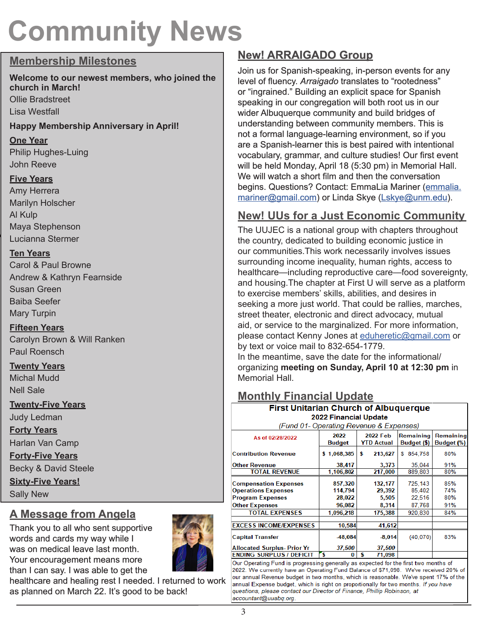## **Community News**

### **Membership Milestones**

#### **Welcome to our newest members, who joined the church in March!** Ollie Bradstreet

Lisa Westfall

#### **Happy Membership Anniversary in April!**

#### **One Year**

Philip Hughes-Luing John Reeve

#### **Five Years**

Amy Herrera Marilyn Holscher Al Kulp Maya Stephenson Lucianna Stermer

#### **Ten Years**

Carol & Paul Browne Andrew & Kathryn Fearnside Susan Green Baiba Seefer Mary Turpin

## **Fifteen Years**

Carolyn Brown & Will Ranken Paul Roensch

### **Twenty Years**

Michal Mudd Nell Sale

### **Twenty-Five Years**

Judy Ledman

**Forty Years**

Harlan Van Camp

**Forty-Five Years**

Becky & David Steele **Sixty-Five Years!**

Sally New

## **A Message from Angela**

Thank you to all who sent supportive words and cards my way while I was on medical leave last month. Your encouragement means more than I can say. I was able to get the



healthcare and healing rest I needed. I returned to work as planned on March 22. It's good to be back!

## **New! ARRAIGADO Group**

Join us for Spanish-speaking, in-person events for any level of fluency. *Arraigado* translates to "rootedness" or "ingrained." Building an explicit space for Spanish speaking in our congregation will both root us in our wider Albuquerque community and build bridges of understanding between community members. This is not a formal language-learning environment, so if you are a Spanish-learner this is best paired with intentional vocabulary, grammar, and culture studies! Our first event will be held Monday, April 18 (5:30 pm) in Memorial Hall. We will watch a short film and then the conversation begins. Questions? Contact: EmmaLia Mariner ([emmalia.](mailto:emmalia.mariner@gmail.com) [mariner@gmail.com](mailto:emmalia.mariner@gmail.com)) or Linda Skye ([Lskye@unm.edu](mailto:Lskye@unm.edu)).

## **New! UUs for a Just Economic Community**

The UUJEC is a national group with chapters throughout the country, dedicated to building economic justice in our communities.This work necessarily involves issues surrounding income inequality, human rights, access to healthcare—including reproductive care—food sovereignty, and housing.The chapter at First U will serve as a platform to exercise members' skills, abilities, and desires in seeking a more just world. That could be rallies, marches, street theater, electronic and direct advocacy, mutual aid, or service to the marginalized. For more information, please contact Kenny Jones at [eduheretic@gmail.com](mailto:eduheretic@gmail.com) or by text or voice mail to 832-654-1779.

In the meantime, save the date for the informational/ organizing **meeting on Sunday, April 10 at 12:30 pm** in Memorial Hall.

## **Monthly Financial Update**

| <br>$\cdots$                                 |                |                               |                          |                         |
|----------------------------------------------|----------------|-------------------------------|--------------------------|-------------------------|
| <b>First Unitarian Church of Albuquerque</b> |                |                               |                          |                         |
| 2022 Financial Update                        |                |                               |                          |                         |
| (Fund 01- Operating Revenue & Expenses)      |                |                               |                          |                         |
| As of 02/28/2022                             | 2022<br>Budget | 2022 Feb<br><b>YTD Actual</b> | Remaining<br>Budget (\$) | Remaining<br>Budget (%) |
| <b>Contribution Revenue</b>                  | \$1,068,385    | 213.627<br>\$                 | 854,758<br>S             | 80%                     |
| <b>Other Revenue</b>                         | 38,417         | 3,373                         | 35,044                   | 91%                     |
| <b>TOTAL REVENUE</b>                         | 1,106,802      | 217,000                       | 889.803                  | 80%                     |
| <b>Compensation Expenses</b>                 | 857,320        | 132,177                       | 725,143                  | 85%                     |
| <b>Operations Expenses</b>                   | 114,794        | 29.392                        | 85,402                   | 74%                     |
| <b>Program Expenses</b>                      | 28,022         | 5,505                         | 22,516                   | 80%                     |
| <b>Other Expenses</b>                        | 96,082         | 8,314                         | 87,768                   | 91%                     |
| <b>TOTAL EXPENSES</b>                        | 1.096.218      | 175,388                       | 920,830                  | 84%                     |
| <b>EXCESS INCOME/EXPENSES</b>                | 10,584         | 41,612                        |                          |                         |
| <b>Capital Transfer</b>                      | -48.084        | $-8.014$                      | (40, 070)                | 83%                     |
| <b>Allocated Surplus- Prior Yr</b>           | 37.500         | 37,500                        |                          |                         |
| Ending Surplus / Deficit                     | 5<br>0         | \$<br>71,098                  |                          |                         |

Our Operating Fund is progressing generally as expected for the first two months of 2022. We currently have an Operating Fund Balance of \$71,098. We've received 20% of our annual Revenue budget in two months, which is reasonable. We've spent 17% of the annual Expense budget, which is right on proportionally for two months. If you have questions, please contact our Director of Finance, Phillip Robinson, at accountant@uuabq.org.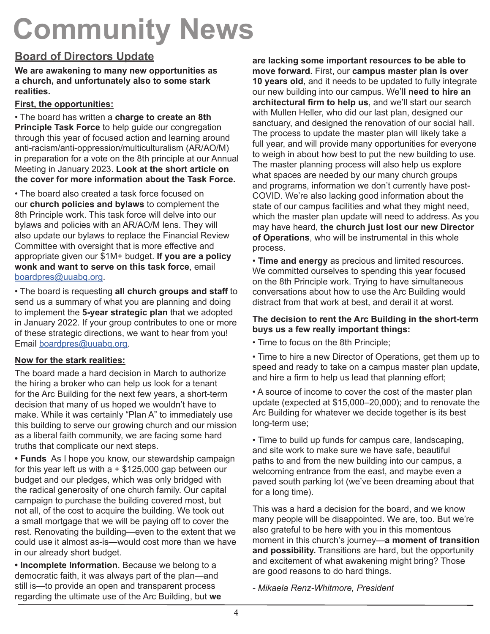## **Community News**

## **Board of Directors Update**

**We are awakening to many new opportunities as a church, and unfortunately also to some stark realities.**

#### **First, the opportunities:**

• The board has written a **charge to create an 8th Principle Task Force** to help guide our congregation through this year of focused action and learning around anti-racism/anti-oppression/multiculturalism (AR/AO/M) in preparation for a vote on the 8th principle at our Annual Meeting in January 2023. **Look at the short article on the cover for more information about the Task Force.**

• The board also created a task force focused on our **church policies and bylaws** to complement the 8th Principle work. This task force will delve into our bylaws and policies with an AR/AO/M lens. They will also update our bylaws to replace the Financial Review Committee with oversight that is more effective and appropriate given our \$1M+ budget. **If you are a policy wonk and want to serve on this task force**, email [boardpres@uuabq.org.](mailto:boardpres@uuabq.org)

• The board is requesting **all church groups and staff** to send us a summary of what you are planning and doing to implement the **5-year strategic plan** that we adopted in January 2022. If your group contributes to one or more of these strategic directions, we want to hear from you! Email [boardpres@uuabq.org](mailto:boardpres@uuabq.org).

#### **Now for the stark realities:**

The board made a hard decision in March to authorize the hiring a broker who can help us look for a tenant for the Arc Building for the next few years, a short-term decision that many of us hoped we wouldn't have to make. While it was certainly "Plan A" to immediately use this building to serve our growing church and our mission as a liberal faith community, we are facing some hard truths that complicate our next steps.

**• Funds** As I hope you know, our stewardship campaign for this year left us with  $a + $125,000$  gap between our budget and our pledges, which was only bridged with the radical generosity of one church family. Our capital campaign to purchase the building covered most, but not all, of the cost to acquire the building. We took out a small mortgage that we will be paying off to cover the rest. Renovating the building—even to the extent that we could use it almost as-is—would cost more than we have in our already short budget.

**• Incomplete Information**. Because we belong to a democratic faith, it was always part of the plan—and still is—to provide an open and transparent process regarding the ultimate use of the Arc Building, but **we**  **are lacking some important resources to be able to move forward.** First, our **campus master plan is over 10 years old**, and it needs to be updated to fully integrate our new building into our campus. We'l**l need to hire an architectural firm to help us**, and we'll start our search with Mullen Heller, who did our last plan, designed our sanctuary, and designed the renovation of our social hall. The process to update the master plan will likely take a full year, and will provide many opportunities for everyone to weigh in about how best to put the new building to use. The master planning process will also help us explore what spaces are needed by our many church groups and programs, information we don't currently have post-COVID. We're also lacking good information about the state of our campus facilities and what they might need, which the master plan update will need to address. As you may have heard, **the church just lost our new Director of Operations**, who will be instrumental in this whole process.

• **Time and energy** as precious and limited resources. We committed ourselves to spending this year focused on the 8th Principle work. Trying to have simultaneous conversations about how to use the Arc Building would distract from that work at best, and derail it at worst.

#### **The decision to rent the Arc Building in the short-term buys us a few really important things:**

• Time to focus on the 8th Principle;

• Time to hire a new Director of Operations, get them up to speed and ready to take on a campus master plan update, and hire a firm to help us lead that planning effort;

• A source of income to cover the cost of the master plan update (expected at \$15,000–20,000); and to renovate the Arc Building for whatever we decide together is its best long-term use;

• Time to build up funds for campus care, landscaping, and site work to make sure we have safe, beautiful paths to and from the new building into our campus, a welcoming entrance from the east, and maybe even a paved south parking lot (we've been dreaming about that for a long time).

This was a hard a decision for the board, and we know many people will be disappointed. We are, too. But we're also grateful to be here with you in this momentous moment in this church's journey—**a moment of transition and possibility.** Transitions are hard, but the opportunity and excitement of what awakening might bring? Those are good reasons to do hard things.

*- Mikaela Renz-Whitmore, President*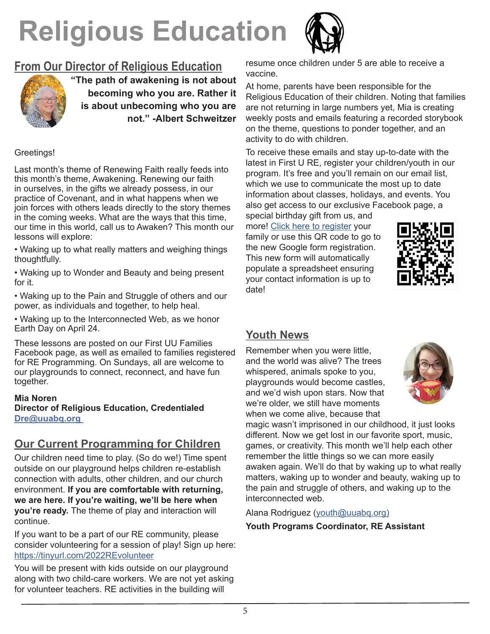# **Religious Education**



## **From Our Director of Religious Education**



**"The path of awakening is not about becoming who you are. Rather it is about unbecoming who you are not." -Albert Schweitzer**

#### Greetings!

Last month's theme of Renewing Faith really feeds into this month's theme, Awakening. Renewing our faith in ourselves, in the gifts we already possess, in our practice of Covenant, and in what happens when we join forces with others leads directly to the story themes in the coming weeks. What are the ways that this time, our time in this world, call us to Awaken? This month our lessons will explore:

• Waking up to what really matters and weighing things thoughtfully.

• Waking up to Wonder and Beauty and being present for it.

• Waking up to the Pain and Struggle of others and our power, as individuals and together, to help heal.

• Waking up to the Interconnected Web, as we honor Earth Day on April 24.

These lessons are posted on our First UU Families Facebook page, as well as emailed to families registered for RE Programming. On Sundays, all are welcome to our playgrounds to connect, reconnect, and have fun together.

#### **Mia Noren Director of Religious Education, Credentialed Dre@uuabq.org**

#### **Our Current Programming for Children**

Our children need time to play. (So do we!) Time spent outside on our playground helps children re-establish connection with adults, other children, and our church environment. **If you are comfortable with returning, we are here. If you're waiting, we'll be here when you're ready.** The theme of play and interaction will continue.

If you want to be a part of our RE community, please consider volunteering for a session of play! Sign up here: https://tinyurl.com/2022REvolunteer

You will be present with kids outside on our playground along with two child-care workers. We are not yet asking for volunteer teachers. RE activities in the building will

resume once children under 5 are able to receive a vaccine.

At home, parents have been responsible for the Religious Education of their children. Noting that families are not returning in large numbers yet, Mia is creating weekly posts and emails featuring a recorded storybook on the theme, questions to ponder together, and an activity to do with children.

To receive these emails and stay up-to-date with the latest in First U RE, register your children/youth in our program. It's free and you'll remain on our email list, which we use to communicate the most up to date information about classes, holidays, and events. You also get access to our exclusive Facebook page, a

special birthday gift from us, and more! [Click here to register](https://docs.google.com/forms/d/e/1FAIpQLSddS8X_P9yWNj7ZHJMp3zubgJXH5S9iLpUJuM6qPnuVNNfZdA/viewform) your family or use this QR code to go to the new Google form registration. This new form will automatically populate a spreadsheet ensuring your contact information is up to date!



## **Youth News**

Remember when you were little, and the world was alive? The trees whispered, animals spoke to you, playgrounds would become castles, and we'd wish upon stars. Now that we're older, we still have moments when we come alive, because that



magic wasn't imprisoned in our childhood, it just looks different. Now we get lost in our favorite sport, music, games, or creativity. This month we'll help each other remember the little things so we can more easily awaken again. We'll do that by waking up to what really matters, waking up to wonder and beauty, waking up to the pain and struggle of others, and waking up to the interconnected web.

Alana Rodriguez [\(youth@uuabq.org\)](mailto:youth@uuabq.org)

#### **Youth Programs Coordinator, RE Assistant**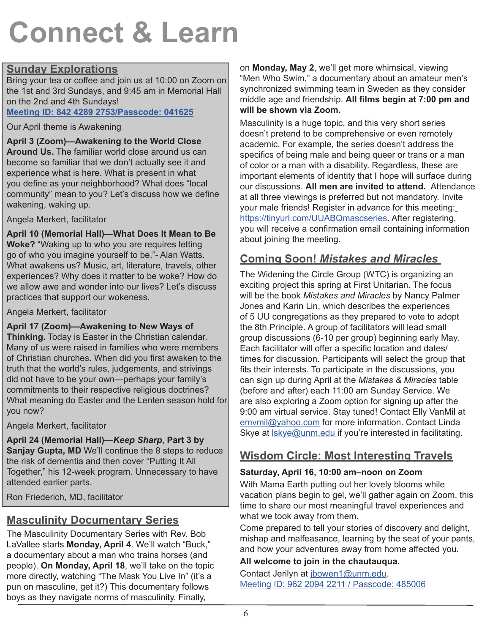## **Connect & Learn**

#### **Sunday Explorations**

Bring your tea or coffee and join us at 10:00 on Zoom on the 1st and 3rd Sundays, and 9:45 am in Memorial Hall on the 2nd and 4th Sundays!

**[Meeting ID: 842 4289 2753/Passcode:](https://us02web.zoom.us/j/84242892753?pwd=c0ZDSDUxMmJodDVYWmVZSHAyL1p1UT09) 041625**

Our April theme is Awakening

**April 3 (Zoom)—Awakening to the World Close Around Us.** The familiar world close around us can become so familiar that we don't actually see it and experience what is here. What is present in what you define as your neighborhood? What does "local community" mean to you? Let's discuss how we define wakening, waking up.

Angela Merkert, facilitator

**April 10 (Memorial Hall)—What Does It Mean to Be Woke?** "Waking up to who you are requires letting go of who you imagine yourself to be."- Alan Watts. What awakens us? Music, art, literature, travels, other experiences? Why does it matter to be woke? How do we allow awe and wonder into our lives? Let's discuss practices that support our wokeness.

Angela Merkert, facilitator

**April 17 (Zoom)—Awakening to New Ways of** 

**Thinking.** Today is Easter in the Christian calendar. Many of us were raised in families who were members of Christian churches. When did you first awaken to the truth that the world's rules, judgements, and strivings did not have to be your own—perhaps your family's commitments to their respective religious doctrines? What meaning do Easter and the Lenten season hold for you now?

Angela Merkert, facilitator

**April 24 (Memorial Hall)—***Keep Sharp***, Part 3 by Sanjay Gupta, MD** We'll continue the 8 steps to reduce the risk of dementia and then cover "Putting It All Together," his 12-week program. Unnecessary to have attended earlier parts.

Ron Friederich, MD, facilitator

## **Masculinity Documentary Series**

The Masculinity Documentary Series with Rev. Bob LaVallee starts **Monday, April 4**. We'll watch "Buck," a documentary about a man who trains horses (and people). **On Monday, April 18**, we'll take on the topic more directly, watching "The Mask You Live In" (it's a pun on masculine, get it?) This documentary follows boys as they navigate norms of masculinity. Finally,

on **Monday, May 2**, we'll get more whimsical, viewing "Men Who Swim," a documentary about an amateur men's synchronized swimming team in Sweden as they consider middle age and friendship. **All films begin at 7:00 pm and will be shown via Zoom.** 

Masculinity is a huge topic, and this very short series doesn't pretend to be comprehensive or even remotely academic. For example, the series doesn't address the specifics of being male and being queer or trans or a man of color or a man with a disability. Regardless, these are important elements of identity that I hope will surface during our discussions. **All men are invited to attend.** Attendance at all three viewings is preferred but not mandatory. Inv[it]( https://tinyurl.com/UUABQmascseries )e your male friends! Register in advance for this meeting: [https://tinyurl.com/UUABQmascseries.]( https://tinyurl.com/UUABQmascseries ) After registering, you will receive a confirmation email containing information about joining the meeting.

## **Coming Soon!** *Mistakes and Miracles*

The Widening the Circle Group (WTC) is organizing an exciting project this spring at First Unitarian. The focus will be the book *Mistakes and Miracles* by Nancy Palmer Jones and Karin Lin, which describes the experiences of 5 UU congregations as they prepared to vote to adopt the 8th Principle. A group of facilitators will lead small group discussions (6-10 per group) beginning early May. Each facilitator will offer a specific location and dates/ times for discussion. Participants will select the group that fits their interests. To participate in the discussions, you can sign up during April at the *Mistakes & Miracles* table (before and after) each 11:00 am Sunday Service. We are also exploring a Zoom option for signing up after the 9:00 am virtual service. Stay tuned! Contact Elly VanMil at [emvmil@yahoo.com](mailto:emvmil@yahoo.com) for more information. Contact Linda Skye at Iskye@unm.edu if you're interested in facilitating.

## **Wisdom Circle: Most Interesting Travels**

### **Saturday, April 16, 10:00 am–noon on Zoom**

With Mama Earth putting out her lovely blooms while vacation plans begin to gel, we'll gather again on Zoom, this time to share our most meaningful travel experiences and what we took away from them.

Come prepared to tell your stories of discovery and delight, mishap and malfeasance, learning by the seat of your pants, and how your adventures away from home affected you.

### **All welcome to join in the chautauqua.**

Contact Jerilyn at [jbowen1@unm.edu.](mailto:jbowen1@unm.edu) Meeting ID: 962 2094 2211 / Passcode: 485006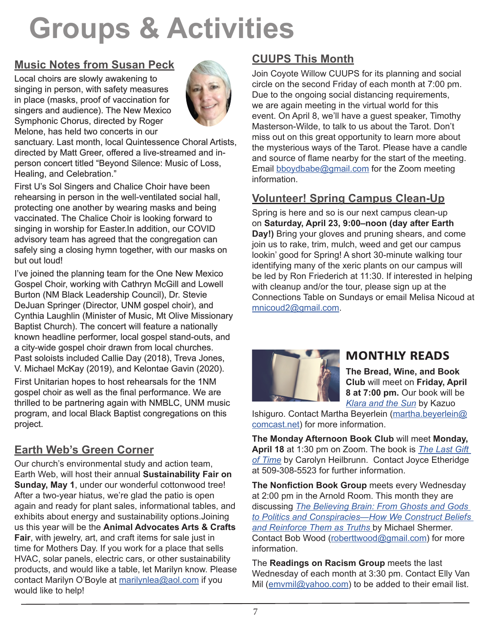## **Groups & Activities**

## **Music Notes from Susan Peck**

Local choirs are slowly awakening to singing in person, with safety measures in place (masks, proof of vaccination for singers and audience). The New Mexico Symphonic Chorus, directed by Roger Melone, has held two concerts in our



sanctuary. Last month, local Quintessence Choral Artists, directed by Matt Greer, offered a live-streamed and inperson concert titled "Beyond Silence: Music of Loss, Healing, and Celebration."

First U's Sol Singers and Chalice Choir have been rehearsing in person in the well-ventilated social hall, protecting one another by wearing masks and being vaccinated. The Chalice Choir is looking forward to singing in worship for Easter.In addition, our COVID advisory team has agreed that the congregation can safely sing a closing hymn together, with our masks on but out loud!

I've joined the planning team for the One New Mexico Gospel Choir, working with Cathryn McGill and Lowell Burton (NM Black Leadership Council), Dr. Stevie DeJuan Springer (Director, UNM gospel choir), and Cynthia Laughlin (Minister of Music, Mt Olive Missionary Baptist Church). The concert will feature a nationally known headline performer, local gospel stand-outs, and a city-wide gospel choir drawn from local churches. Past soloists included Callie Day (2018), Treva Jones, V. Michael McKay (2019), and Kelontae Gavin (2020).

First Unitarian hopes to host rehearsals for the 1NM gospel choir as well as the final performance. We are thrilled to be partnering again with NMBLC, UNM music program, and local Black Baptist congregations on this project.

## **Earth Web's Green Corner**

Our church's environmental study and action team, Earth Web, will host their annual **Sustainability Fair on Sunday, May 1**, under our wonderful cottonwood tree! After a two-year hiatus, we're glad the patio is open again and ready for plant sales, informational tables, and exhibits about energy and sustainability options.Joining us this year will be the **Animal Advocates Arts & Crafts Fair**, with jewelry, art, and craft items for sale just in time for Mothers Day. If you work for a place that sells HVAC, solar panels, electric cars, or other sustainability products, and would like a table, let Marilyn know. Please contact Marilyn O'Boyle at [marilynlea@aol.com](mailto:marilynlea@aol.com) if you would like to help!

## **CUUPS This Month**

Join Coyote Willow CUUPS for its planning and social circle on the second Friday of each month at 7:00 pm. Due to the ongoing social distancing requirements, we are again meeting in the virtual world for this event. On April 8, we'll have a guest speaker, Timothy Masterson-Wilde, to talk to us about the Tarot. Don't miss out on this great opportunity to learn more about the mysterious ways of the Tarot. Please have a candle and source of flame nearby for the start of the meeting. Email [bboydbabe@gmail.com](mailto:bboydbabe@gmail.com ) for the Zoom meeting information.

### **Volunteer! Spring Campus Clean-Up**

Spring is here and so is our next campus clean-up on **Saturday, April 23, 9:00–noon (day after Earth Day!)** Bring your gloves and pruning shears, and come join us to rake, trim, mulch, weed and get our campus lookin' good for Spring! A short 30-minute walking tour identifying many of the xeric plants on our campus will be led by Ron Friederich at 11:30. If interested in helping with cleanup and/or the tour, please sign up at the Connections Table on Sundays or email Melisa Nicoud at [mnicoud2@gmail.com.](mailto:mnicoud2@gmail.com)



## **Monthly Reads**

**The Bread, Wine, and Book Club** will meet on **Friday, April 8 at 7:00 pm.** Our book will be *[Klara and the Sun](https://bookshop.org/books/klara-and-the-sun-9780593396568/9780593318171)* by Kazuo

Ishiguro. Contact Martha Beyerlein [\(martha.beyerlein@](mailto:martha.beyerlein@comcast.net) [comcast.net](mailto:martha.beyerlein@comcast.net)) for more information.

**The Monday Afternoon Book Club** will meet **Monday, April 18** at 1:30 pm on Zoom. The book is *[The Last Gift](https://www.amazon.com/Last-Gift-Time-Beyond-Sixty/dp/0345422953/ref=asc_df_0345422953/?tag=hyprod-20&linkCode=df0&hvadid=312045581420&hvpos=&hvnetw=g&hvrand=2091792402276488688&hvpone=&hvptwo=&hvqmt=&hvdev=c&hvdvcmdl=&hvlocint=&hvlocphy=9030454&hvtargid=pla-553229543668&psc=1&tag=&ref=&adgrpid=62837065180&hvpone=&hvptwo=&hvadid=312045581420&hvpos=&hvnetw=g&hvrand=2091792402276488688&hvqmt=&hvdev=c&hvdvcmdl=&hvlocint=&hvlocphy=9030454&hvtargid=pla-553229543668)  [of Time](https://www.amazon.com/Last-Gift-Time-Beyond-Sixty/dp/0345422953/ref=asc_df_0345422953/?tag=hyprod-20&linkCode=df0&hvadid=312045581420&hvpos=&hvnetw=g&hvrand=2091792402276488688&hvpone=&hvptwo=&hvqmt=&hvdev=c&hvdvcmdl=&hvlocint=&hvlocphy=9030454&hvtargid=pla-553229543668&psc=1&tag=&ref=&adgrpid=62837065180&hvpone=&hvptwo=&hvadid=312045581420&hvpos=&hvnetw=g&hvrand=2091792402276488688&hvqmt=&hvdev=c&hvdvcmdl=&hvlocint=&hvlocphy=9030454&hvtargid=pla-553229543668)* by Carolyn Heilbrunn. Contact Joyce Etheridge at 509-308-5523 for further information.

**The Nonfiction Book Group** meets every Wednesday at 2:00 pm in the Arnold Room. This month they are discussing *[The Believing Brain: From Ghosts and Gods](https://bookshop.org/books/the-believing-brain-from-ghosts-and-gods-to-politics-and-conspiracies-how-we-construct-beliefs-and-reinforce-them-as-truths/9781250008800)  [to Politics and Conspiracies—How We Construct Beliefs](https://bookshop.org/books/the-believing-brain-from-ghosts-and-gods-to-politics-and-conspiracies-how-we-construct-beliefs-and-reinforce-them-as-truths/9781250008800)  [and Reinforce Them as Truths](https://bookshop.org/books/the-believing-brain-from-ghosts-and-gods-to-politics-and-conspiracies-how-we-construct-beliefs-and-reinforce-them-as-truths/9781250008800)* by Michael Shermer. Contact Bob Wood ([roberttwood@gmail.com](mailto:roberttwood@gmail.com)) for more information.

The **Readings on Racism Group** meets the last Wednesday of each month at 3:30 pm. Contact Elly Van Mil ([emvmil@yahoo.com\)](mailto:emvmil@yahoo.com) to be added to their email list.